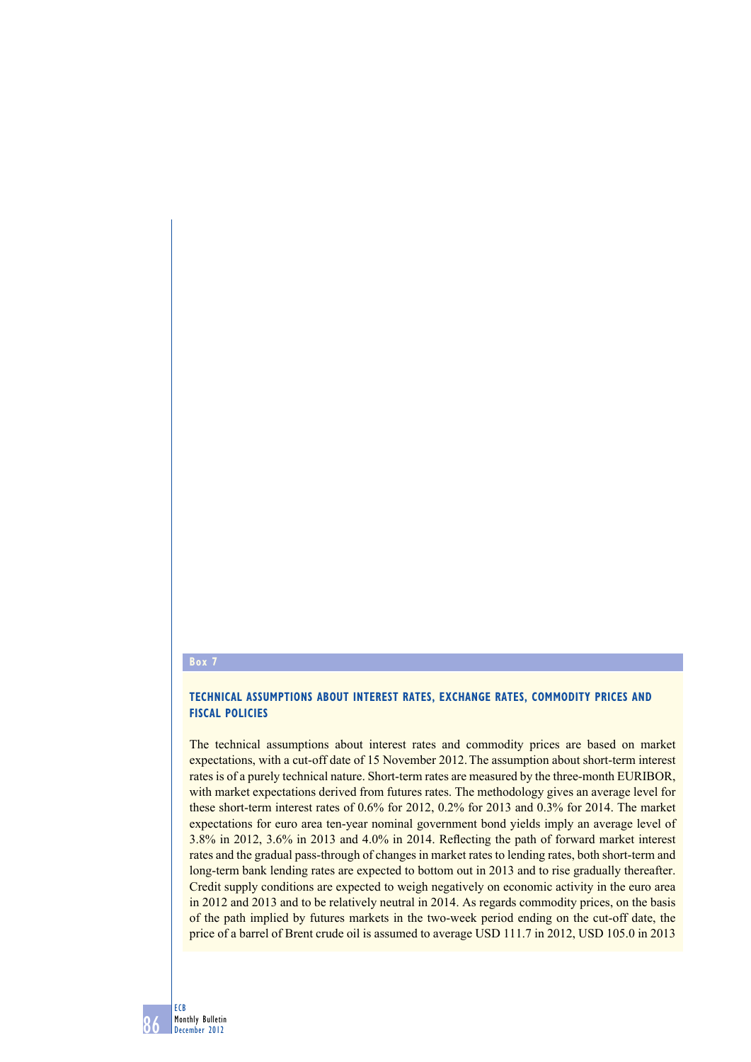## **Box 7**

## **Technical assumptions about interest rates, exchange rates, commodity prices and fiscal policies**

The technical assumptions about interest rates and commodity prices are based on market expectations, with a cut-off date of 15 November 2012. The assumption about short-term interest rates is of a purely technical nature. Short-term rates are measured by the three-month EURIBOR, with market expectations derived from futures rates. The methodology gives an average level for these short-term interest rates of 0.6% for 2012, 0.2% for 2013 and 0.3% for 2014. The market expectations for euro area ten-year nominal government bond yields imply an average level of 3.8% in 2012, 3.6% in 2013 and 4.0% in 2014. Reflecting the path of forward market interest rates and the gradual pass-through of changes in market rates to lending rates, both short-term and long-term bank lending rates are expected to bottom out in 2013 and to rise gradually thereafter. Credit supply conditions are expected to weigh negatively on economic activity in the euro area in 2012 and 2013 and to be relatively neutral in 2014. As regards commodity prices, on the basis of the path implied by futures markets in the two-week period ending on the cut-off date, the price of a barrel of Brent crude oil is assumed to average USD 111.7 in 2012, USD 105.0 in 2013

86 ECB Monthly Bulletin December 2012